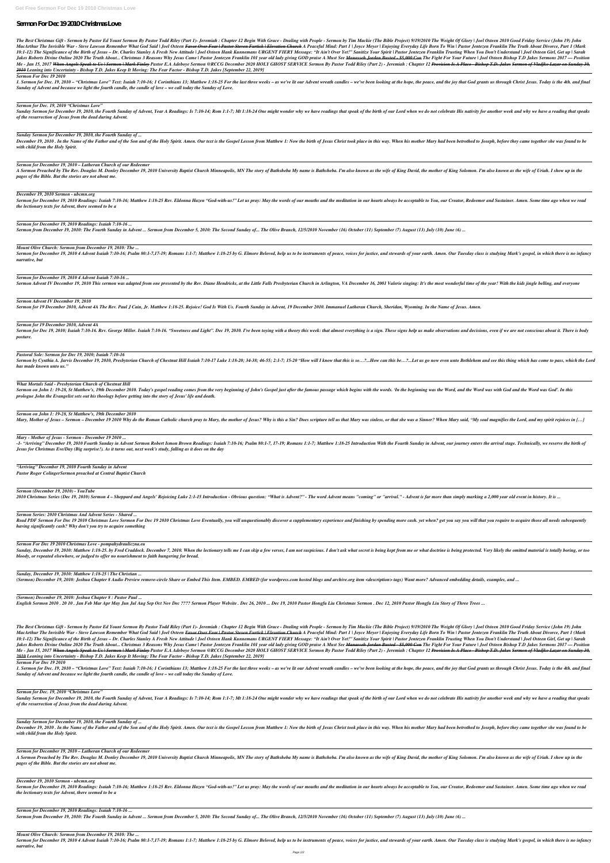# Sermon For Dec 192010 Christmas Love

The Best Christmas Gift - Sermon by Pastor Ed Yount Sermon By Pastor Todd Riley (Part 1)- Jeremiah : Chapter 12 Begin With Grace - Dealing with People - Sermon by Tim Mackie (The Bible Project) 9/19/2010 The Weight Of Glor MacArthur The Invisible War - Steve Lawson Remember What God Said | Joel Osteen <del>Favor Over Fear | Pastor Steven Furtick | Elevation Church</del> A Peaceful Mind: Part 1 | Joyce Meyer | Enjoying Everyday Life Born To Win | Past 10:1-12) The Significance of the Birth of Jesus – Dr. Charles Stanley A Fresh New Attitude | Joel Osteen Hank Kunnemans URGENT FIERY Message: "It Ain't Over Yet!" Sanitize Your Spirit | Pastor Jentezen Franklin Trusting Wh Jakes Roberts Divine Online 2020 The Truth About... Christmas 3 Reasons Why Jesus Came | Pastor Jentezen Franklin 101 year old lady giving GOD praise A Must See <del>Manasseh Jordan Busted - \$5,000 Con</del> The Fight For Your Futu Me - Jan 15, 2017 <del>When Angels Speak to Us | Sermon | Mark Finley</del> Pastor E.A Adeboye Sermon @RCCG December 2020 HOLY GHOST SERVICE Sermon By Pastor Todd Riley (Part 2) - Jeremiah : Chapter 12 <del>Provision Is A Place - Bisho</del> *2010 Leaning into Uncertainty - Bishop T.D. Jakes Keep It Moving: The Fear Factor - Bishop T.D. Jakes [September 22, 2019]*

1. Sermon for Dec. 19, 2010 – "Christmas Love" Text: Isaiah 7:10-16; 1 Corinthians 13; Matthew 1:18-25 For the last three weeks – as we've lit our Advent wreath candles – we've been looking at the hope, the peace, and the *Sunday of Advent and because we light the fourth candle, the candle of love – we call today the Sunday of Love.*

Sunday Sermon for December 19, 2010, the Fourth Sunday of Advent, Year A Readings: Is 7:10-14; Rom 1:1-7; Mt 1:18-24 One might wonder why we have readings that speak of the birth of our Lord when we do not celebrate His na *of the resurrection of Jesus from the dead during Advent.*

December 19, 2010. In the Name of the Father and of the Son and of the Holy Spirit. Amen. Our text is the Gospel Lesson from Matthew 1: Now the birth of Jesus Christ took place in this way. When his mother Mary had been be *with child from the Holy Spirit.*

A Sermon Preached by The Rev. Douglas M. Donley December 19, 2010 University Baptist Church Minneapolis, MN The story of Bathsheba My name is Bathsheba. I'm also known as the mother of aing Solomon. I'm also known as the w *pages of the Bible. But the stories are not about me.*

*Sermon For Dec 19 2010*

Sermon for December 19, 2010 Readings: Isaiah 7:10-16; Matthew 1:18-25 Rev. Eldonna Hazen "God-with-us!" Let us pray: May the words of our mouths and the meditation in our hearts always be acceptable to You, our Creator, R *the lectionary texts for Advent, there seemed to be a*

#### *Sermon for Dec. 19, 2010 "Christmas Love"*

Sermon for December 19, 2010 4 Advent Isaiah 7:10-16; Psalm 80:1-7,17-19; Romans 1:1-7; Matthew 1:18-25 by G. Elmore Beloved, help us to be instruments of peace, voices for justice, and stewards of your earth. Amen. Our Tu *narrative, but*

#### *Sunday Sermon for December 19, 2010, the Fourth Sunday of ...*

Sermon for Dec 19, 2010; Isaiah 7:10-16. Rev. George Miller. Isaiah 7:10-16. "Sweetness and Light". Dec 19, 2010. I've been toying with a theory this week: that almost everything is a sign. These signs help us make observa *posture.*

Sermon by Cynthia A. Jarvis December 19, 2010, Presbyterian Church of Chestnut Hill Isaiah 7:10-17 Luke 1:18-20; 34-38; 46-55; 2:1-7; 15-20 "How will I know that this is so...?...How can this be...?...Let us go now even un *has made known unto us."*

#### *Sermon for December 19, 2010 – Lutheran Church of our Redeemer*

Sermon on John 1: 19-28, St Matthew's, 19th December 2010. Today's gospel reading comes from the very beginning of John's Gospel just after the famous passage which begins with the words. In the beginning was the Word, and *prologue John the Evangelist sets out his theology before getting into the story of Jesus' life and death.*

#### *December 19, 2010 Sermon - ubcmn.org*

-1- "Arriving" December 19, 2010 Fourth Sunday in Advent Sermon Robert Ismon Brown Readings: Isaiah 7:10-16; Psalm 80:1-7, 17-19; Romans 1:1-7; Matthew 1:18-25 Introduction With the Fourth Sunday in Advent, our journey ent *Jesus for Christmas Eve/Day (Big surprise!). As it turns out, next week's study, falling as it does on the day*

#### *Sermon for December 19, 2010 Readings: Isaiah 7:10-16 ...*

Sermon from December 19, 2010: The Fourth Sunday in Advent ... Sermon from December 5, 2010: The Second Sunday of... The Olive Branch, 12/5/2010 November (16) October (11) September (7) August (13) July (10) June (6) ...

Read PDF Sermon For Dec 19 2010 Christmas Love Sermon For Dec 19 2010 Christmas Love Eventually, you will unquestionably discover a supplementary experience and finishing by spending more cash. yet when? get you say you wi *having significantly cash? Why don't you try to acquire something*

*Mount Olive Church: Sermon from December 19, 2010: The ...*

Sunday, December 19, 2010: Matthew 1:18-25. by Fred Craddock. December 7, 2010. When the lectionary tells me I can skip a few verses, I am not suspicious. I don't ask what secret is being kept from me or what doctrine is b *bloody, or repeated elsewhere, or judged to offer no nourishment to faith hungering for bread.*

#### *Sermon for December 19, 2010 4 Advent Isaiah 7:10-16 ...*

Sermon Advent IV December 19, 2010 This sermon was adapted from one presented by the Rev. Diane Hendricks, at the Little Falls Presbyterian Church in Arlington, VA December 16, 2001 Valerie singing: It's the most wonderful

#### *Sermon Advent IV December 19, 2010*

Sermon for 19 December 2010, Advent 4A The Rev. Paul J Cain, Jr. Matthew 1:18-25. Rejoice! God Is With Us. Fourth Sunday in Advent, 19 December 2010. Immanuel Lutheran Church, Sheridan, Wyoming. In the Name of Jesus. Amen.

The Best Christmas Gift - Sermon by Pastor Ed Yount Sermon By Pastor Todd Riley (Part 1)- Jeremiah : Chapter 12 Begin With Grace - Dealing with People - Sermon by Tim Mackie (The Bible Project) 9/19/2010 The Weight Of Glor MacArthur The Invisible War - Steve Lawson Remember What God Said | Joel Osteen <del>Favor Over Fear | Pastor Steven Furtick | Elevation Church</del> A Peaceful Mind: Part 1 | Joyce Meyer | Enjoying Everyday Life Born To Win | Past 10:1-12) The Significance of the Birth of Jesus – Dr. Charles Stanley A Fresh New Attitude | Joel Osteen Hank Kunnemans URGENT FIERY Message: "It Ain't Over Yet!" Sanitize Your Spirit | Pastor Jentezen Franklin Trusting Wh Jakes Roberts Divine Online 2020 The Truth About... Christmas 3 Reasons Why Jesus Came | Pastor Jentezen Franklin 101 year old lady giving GOD praise A Must See <del>Manasseh Jordan Busted - \$5,000 Con</del> The Fight For Your Futu Me - Jan 15, 2017 <del>When Angels Speak to Us | Sermon | Mark Finley</del> Pastor E.A Adeboye Sermon @RCCG December 2020 HOLY GHOST SERVICE Sermon By Pastor Todd Riley (Part 2) - Jeremiah : Chapter 12 <del>Provision Is A Place - Bisho</del> *2010 Leaning into Uncertainty - Bishop T.D. Jakes Keep It Moving: The Fear Factor - Bishop T.D. Jakes [September 22, 2019]*

#### *Pastoral Sole: Sermon for Dec 19, 2010; Isaiah 7:10-16*

1. Sermon for Dec. 19, 2010 – "Christmas Love" Text: Isaiah 7:10-16; 1 Corinthians 13; Matthew 1:18-25 For the last three weeks – as we've lit our Advent wreath candles – we've been looking at the hope, the peace, and the *Sunday of Advent and because we light the fourth candle, the candle of love – we call today the Sunday of Love.*

Sunday Sermon for December 19, 2010, the Fourth Sunday of Advent, Year A Readings: Is 7:10-14; Rom 1:1-7; Mt 1:18-24 One might wonder why we have readings that speak of the birth of our Lord when we do not celebrate His na *of the resurrection of Jesus from the dead during Advent.*

#### *What Mortals Said - Presbyterian Church of Chestnut Hill*

December 19, 2010 . In the Name of the Father and of the Son and of the Holy Spirit. Amen. Our text is the Gospel Lesson from Matthew 1: Now the birth of Jesus Christ took place in this way. When his mother Mary had been b *with child from the Holy Spirit.*

A Sermon Preached by The Rev. Douglas M. Donley December 19, 2010 University Baptist Church Minneapolis, MN The story of Bathsheba My name is Bathsheba. I'm also known as the wife of King David, the mother of King Solomon. *pages of the Bible. But the stories are not about me.*

#### *Sermon on John 1: 19-28, St Matthew's, 19th December 2010*

Mary, Mother of Jesus – Sermon – December 19 2010 Why do the Roman Catholic church pray to Mary, the mother of Jesus? Why is this a Sin? Does scripture tell us that Mary was sinless, or that she was a Sinner? When Mary sai

Sermon for December 19, 2010 Readings: Isaiah 7:10-16; Matthew 1:18-25 Rev. Eldonna Hazen "God-with-us!" Let us pray: May the words of our mouths and the meditation in our hearts always be acceptable to You, our Creator, R *the lectionary texts for Advent, there seemed to be a*

#### *Mary - Mother of Jesus - Sermon - December 19 2010 ...*

Sermon for December 19, 2010 4 Advent Isaiah 7:10-16; Psalm 80:1-7,17-19; Romans 1:1-7; Matthew 1:18-25 by G. Elmore Beloved, help us to be instruments of peace, voices for justice, and stewards of your earth. Amen. Our Tu *narrative, but*

#### *"Arriving" December 19, 2010 Fourth Sunday in Advent Pastor Roger ColingerSermon preached at Central Baptist Church*

#### *Sermon (December 19, 2010) - YouTube*

2010 Christmas Series (Dec 19, 2010) Sermon 4 – Sheppard and Angels' Rejoicing Luke 2:1-15 Introduction - Obvious question: "What is Advent?" - The word Advent means "coming" or "arrival." - Advent is far more than simply

### *Sermon Series: 2010 Christmas And Advent Series - Shared ...*

#### *Sermon For Dec 19 2010 Christmas Love - pompahydrauliczna.eu*

### *Sunday, December 19, 2010: Matthew 1:18-25 | The Christian ...*

(Sermon) December 19, 2010: Joshua Chapter 8 Audio Preview remove-circle Share or Embed This Item. EMBED (for wordpress.com hosted blogs and archive.org item <description> tags) Want more? Advanced embedding details, examp

#### *(Sermon) December 19, 2010: Joshua Chapter 8 : Pastor Paul ...*

English Sermon 2010, 2010, Jan Feb Mar Apr May Jun Jul Aug Sep Oct Nov Dec ???? Sermon Player Website, Dec 26, 2010 ... Dec 19, 2010 Pastor Hongfu Liu Christmas Sermon, Dec 12, 2010 Pastor Hongfu Liu Story of Three Trees..

#### *Sermon For Dec 19 2010*

#### *Sermon for Dec. 19, 2010 "Christmas Love"*

# *Sunday Sermon for December 19, 2010, the Fourth Sunday of ...*

# *Sermon for December 19, 2010 – Lutheran Church of our Redeemer*

### *December 19, 2010 Sermon - ubcmn.org*

# *Sermon for December 19, 2010 Readings: Isaiah 7:10-16 ...*

Sermon from December 19, 2010: The Fourth Sunday in Advent ... Sermon from December 5, 2010: The Second Sunday of... The Olive Branch, 12/5/2010 November (16) October (11) September (7) August (13) July (10) June (6) ...

*Mount Olive Church: Sermon from December 19, 2010: The ...*